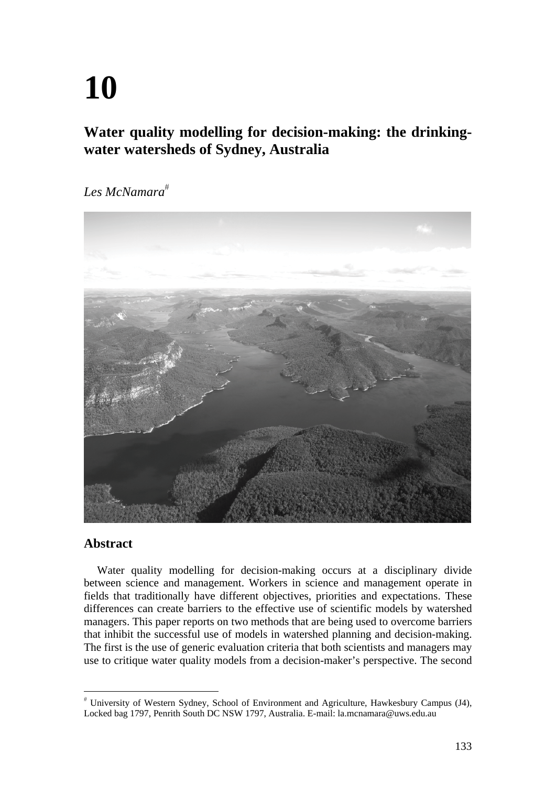# **10**

## **Water quality modelling for decision-making: the drinkingwater watersheds of Sydney, Australia**

*Les McNamara*



## **Abstract**

Water quality modelling for decision-making occurs at a disciplinary divide between science and management. Workers in science and management operate in fields that traditionally have different objectives, priorities and expectations. These differences can create barriers to the effective use of scientific models by watershed managers. This paper reports on two methods that are being used to overcome barriers that inhibit the successful use of models in watershed planning and decision-making. The first is the use of generic evaluation criteria that both scientists and managers may use to critique water quality models from a decision-maker's perspective. The second

 University of Western Sydney, School of Environment and Agriculture, Hawkesbury Campus (J4), Locked bag 1797, Penrith South DC NSW 1797, Australia. E-mail: la.mcnamara@uws.edu.au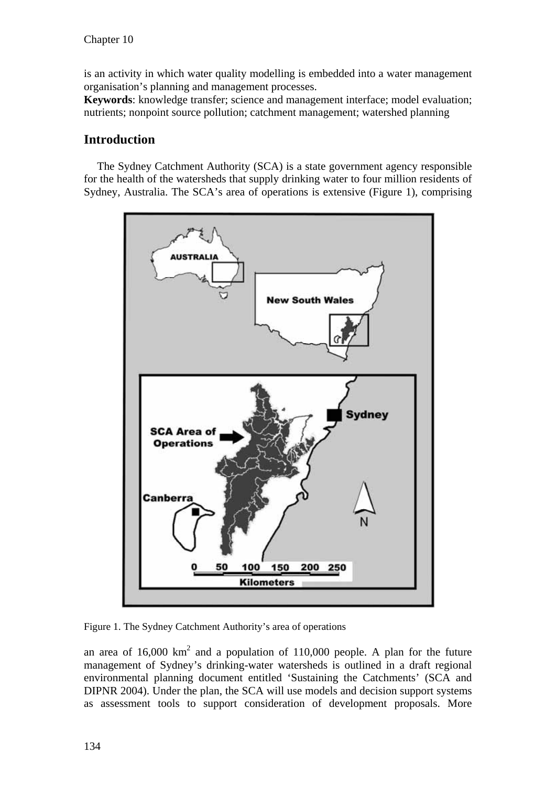is an activity in which water quality modelling is embedded into a water management organisation's planning and management processes.

**Keywords**: knowledge transfer; science and management interface; model evaluation; nutrients; nonpoint source pollution; catchment management; watershed planning

## **Introduction**

The Sydney Catchment Authority (SCA) is a state government agency responsible for the health of the watersheds that supply drinking water to four million residents of Sydney, Australia. The SCA's area of operations is extensive (Figure 1), comprising



Figure 1. The Sydney Catchment Authority's area of operations

an area of  $16,000 \text{ km}^2$  and a population of  $110,000$  people. A plan for the future management of Sydney's drinking-water watersheds is outlined in a draft regional environmental planning document entitled 'Sustaining the Catchments' (SCA and DIPNR 2004). Under the plan, the SCA will use models and decision support systems as assessment tools to support consideration of development proposals. More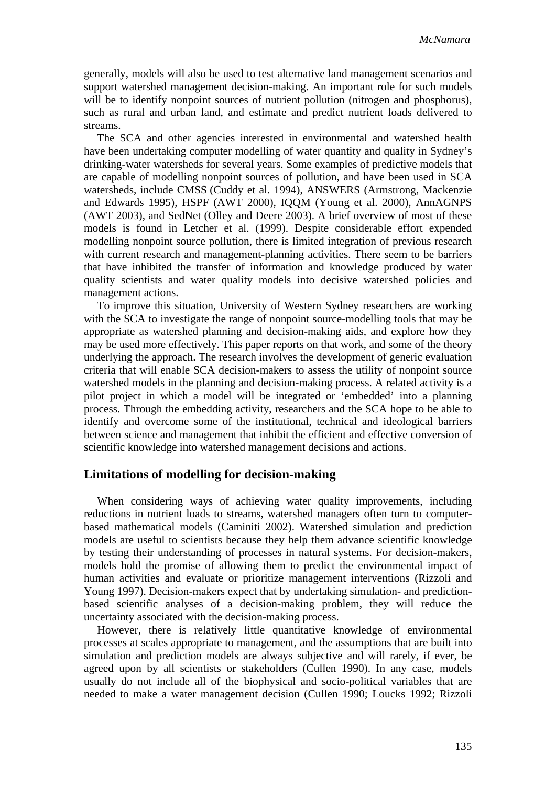generally, models will also be used to test alternative land management scenarios and support watershed management decision-making. An important role for such models will be to identify nonpoint sources of nutrient pollution (nitrogen and phosphorus), such as rural and urban land, and estimate and predict nutrient loads delivered to streams.

The SCA and other agencies interested in environmental and watershed health have been undertaking computer modelling of water quantity and quality in Sydney's drinking-water watersheds for several years. Some examples of predictive models that are capable of modelling nonpoint sources of pollution, and have been used in SCA watersheds, include CMSS (Cuddy et al. 1994), ANSWERS (Armstrong, Mackenzie and Edwards 1995), HSPF (AWT 2000), IQQM (Young et al. 2000), AnnAGNPS (AWT 2003), and SedNet (Olley and Deere 2003). A brief overview of most of these models is found in Letcher et al. (1999). Despite considerable effort expended modelling nonpoint source pollution, there is limited integration of previous research with current research and management-planning activities. There seem to be barriers that have inhibited the transfer of information and knowledge produced by water quality scientists and water quality models into decisive watershed policies and management actions.

To improve this situation, University of Western Sydney researchers are working with the SCA to investigate the range of nonpoint source-modelling tools that may be appropriate as watershed planning and decision-making aids, and explore how they may be used more effectively. This paper reports on that work, and some of the theory underlying the approach. The research involves the development of generic evaluation criteria that will enable SCA decision-makers to assess the utility of nonpoint source watershed models in the planning and decision-making process. A related activity is a pilot project in which a model will be integrated or 'embedded' into a planning process. Through the embedding activity, researchers and the SCA hope to be able to identify and overcome some of the institutional, technical and ideological barriers between science and management that inhibit the efficient and effective conversion of scientific knowledge into watershed management decisions and actions.

## **Limitations of modelling for decision-making**

When considering ways of achieving water quality improvements, including reductions in nutrient loads to streams, watershed managers often turn to computerbased mathematical models (Caminiti 2002). Watershed simulation and prediction models are useful to scientists because they help them advance scientific knowledge by testing their understanding of processes in natural systems. For decision-makers, models hold the promise of allowing them to predict the environmental impact of human activities and evaluate or prioritize management interventions (Rizzoli and Young 1997). Decision-makers expect that by undertaking simulation- and predictionbased scientific analyses of a decision-making problem, they will reduce the uncertainty associated with the decision-making process.

However, there is relatively little quantitative knowledge of environmental processes at scales appropriate to management, and the assumptions that are built into simulation and prediction models are always subjective and will rarely, if ever, be agreed upon by all scientists or stakeholders (Cullen 1990). In any case, models usually do not include all of the biophysical and socio-political variables that are needed to make a water management decision (Cullen 1990; Loucks 1992; Rizzoli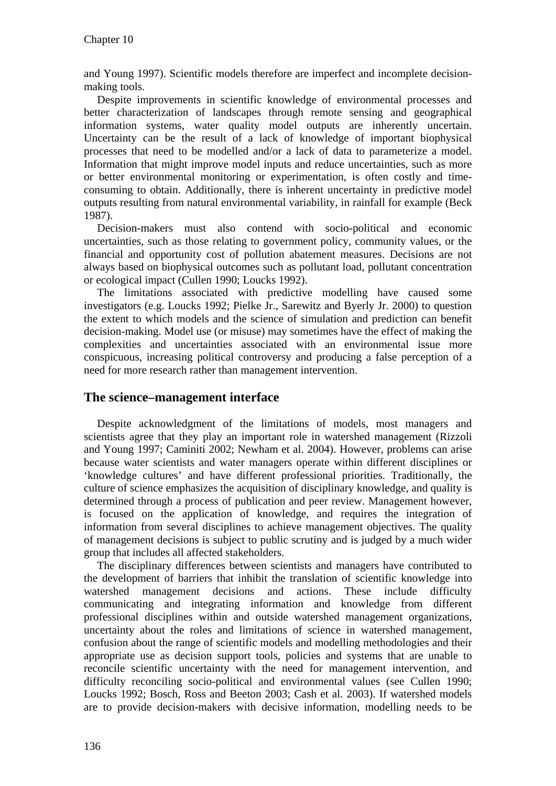and Young 1997). Scientific models therefore are imperfect and incomplete decisionmaking tools.

Despite improvements in scientific knowledge of environmental processes and better characterization of landscapes through remote sensing and geographical information systems, water quality model outputs are inherently uncertain. Uncertainty can be the result of a lack of knowledge of important biophysical processes that need to be modelled and/or a lack of data to parameterize a model. Information that might improve model inputs and reduce uncertainties, such as more or better environmental monitoring or experimentation, is often costly and timeconsuming to obtain. Additionally, there is inherent uncertainty in predictive model outputs resulting from natural environmental variability, in rainfall for example (Beck 1987).

Decision-makers must also contend with socio-political and economic uncertainties, such as those relating to government policy, community values, or the financial and opportunity cost of pollution abatement measures. Decisions are not always based on biophysical outcomes such as pollutant load, pollutant concentration or ecological impact (Cullen 1990; Loucks 1992).

The limitations associated with predictive modelling have caused some investigators (e.g. Loucks 1992; Pielke Jr., Sarewitz and Byerly Jr. 2000) to question the extent to which models and the science of simulation and prediction can benefit decision-making. Model use (or misuse) may sometimes have the effect of making the complexities and uncertainties associated with an environmental issue more conspicuous, increasing political controversy and producing a false perception of a need for more research rather than management intervention.

## **The science–management interface**

Despite acknowledgment of the limitations of models, most managers and scientists agree that they play an important role in watershed management (Rizzoli and Young 1997; Caminiti 2002; Newham et al. 2004). However, problems can arise because water scientists and water managers operate within different disciplines or 'knowledge cultures' and have different professional priorities. Traditionally, the culture of science emphasizes the acquisition of disciplinary knowledge, and quality is determined through a process of publication and peer review. Management however, is focused on the application of knowledge, and requires the integration of information from several disciplines to achieve management objectives. The quality of management decisions is subject to public scrutiny and is judged by a much wider group that includes all affected stakeholders.

The disciplinary differences between scientists and managers have contributed to the development of barriers that inhibit the translation of scientific knowledge into watershed management decisions and actions. These include difficulty communicating and integrating information and knowledge from different professional disciplines within and outside watershed management organizations, uncertainty about the roles and limitations of science in watershed management, confusion about the range of scientific models and modelling methodologies and their appropriate use as decision support tools, policies and systems that are unable to reconcile scientific uncertainty with the need for management intervention, and difficulty reconciling socio-political and environmental values (see Cullen 1990; Loucks 1992; Bosch, Ross and Beeton 2003; Cash et al. 2003). If watershed models are to provide decision-makers with decisive information, modelling needs to be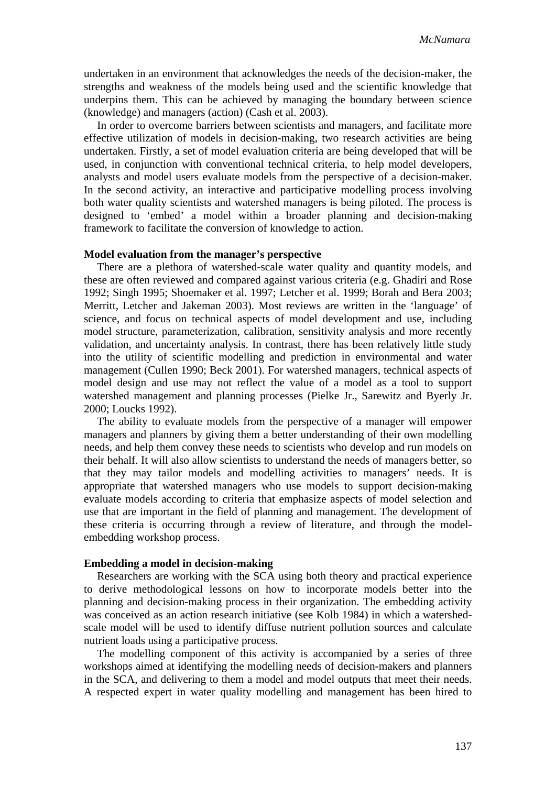undertaken in an environment that acknowledges the needs of the decision-maker, the strengths and weakness of the models being used and the scientific knowledge that underpins them. This can be achieved by managing the boundary between science (knowledge) and managers (action) (Cash et al. 2003).

In order to overcome barriers between scientists and managers, and facilitate more effective utilization of models in decision-making, two research activities are being undertaken. Firstly, a set of model evaluation criteria are being developed that will be used, in conjunction with conventional technical criteria, to help model developers, analysts and model users evaluate models from the perspective of a decision-maker. In the second activity, an interactive and participative modelling process involving both water quality scientists and watershed managers is being piloted. The process is designed to 'embed' a model within a broader planning and decision-making framework to facilitate the conversion of knowledge to action.

#### **Model evaluation from the manager's perspective**

There are a plethora of watershed-scale water quality and quantity models, and these are often reviewed and compared against various criteria (e.g. Ghadiri and Rose 1992; Singh 1995; Shoemaker et al. 1997; Letcher et al. 1999; Borah and Bera 2003; Merritt, Letcher and Jakeman 2003). Most reviews are written in the 'language' of science, and focus on technical aspects of model development and use, including model structure, parameterization, calibration, sensitivity analysis and more recently validation, and uncertainty analysis. In contrast, there has been relatively little study into the utility of scientific modelling and prediction in environmental and water management (Cullen 1990; Beck 2001). For watershed managers, technical aspects of model design and use may not reflect the value of a model as a tool to support watershed management and planning processes (Pielke Jr., Sarewitz and Byerly Jr. 2000; Loucks 1992).

The ability to evaluate models from the perspective of a manager will empower managers and planners by giving them a better understanding of their own modelling needs, and help them convey these needs to scientists who develop and run models on their behalf. It will also allow scientists to understand the needs of managers better, so that they may tailor models and modelling activities to managers' needs. It is appropriate that watershed managers who use models to support decision-making evaluate models according to criteria that emphasize aspects of model selection and use that are important in the field of planning and management. The development of these criteria is occurring through a review of literature, and through the modelembedding workshop process.

#### **Embedding a model in decision-making**

Researchers are working with the SCA using both theory and practical experience to derive methodological lessons on how to incorporate models better into the planning and decision-making process in their organization. The embedding activity was conceived as an action research initiative (see Kolb 1984) in which a watershedscale model will be used to identify diffuse nutrient pollution sources and calculate nutrient loads using a participative process.

The modelling component of this activity is accompanied by a series of three workshops aimed at identifying the modelling needs of decision-makers and planners in the SCA, and delivering to them a model and model outputs that meet their needs. A respected expert in water quality modelling and management has been hired to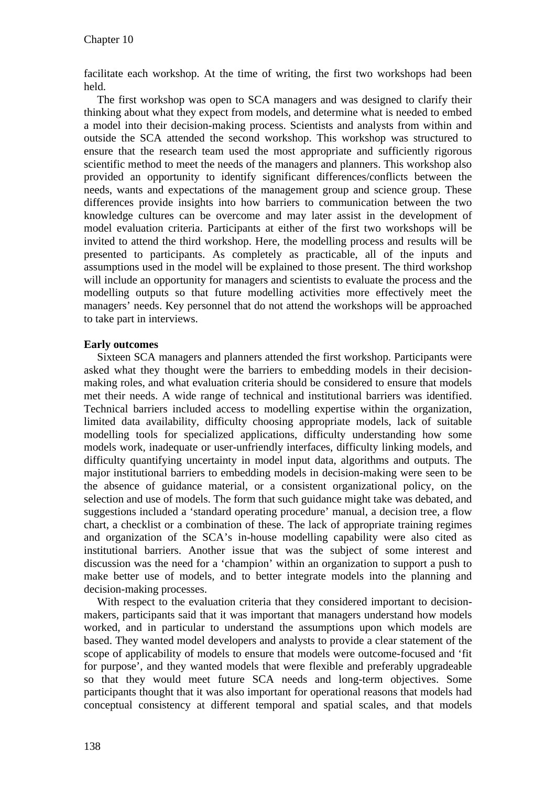facilitate each workshop. At the time of writing, the first two workshops had been held.

The first workshop was open to SCA managers and was designed to clarify their thinking about what they expect from models, and determine what is needed to embed a model into their decision-making process. Scientists and analysts from within and outside the SCA attended the second workshop. This workshop was structured to ensure that the research team used the most appropriate and sufficiently rigorous scientific method to meet the needs of the managers and planners. This workshop also provided an opportunity to identify significant differences/conflicts between the needs, wants and expectations of the management group and science group. These differences provide insights into how barriers to communication between the two knowledge cultures can be overcome and may later assist in the development of model evaluation criteria. Participants at either of the first two workshops will be invited to attend the third workshop. Here, the modelling process and results will be presented to participants. As completely as practicable, all of the inputs and assumptions used in the model will be explained to those present. The third workshop will include an opportunity for managers and scientists to evaluate the process and the modelling outputs so that future modelling activities more effectively meet the managers' needs. Key personnel that do not attend the workshops will be approached to take part in interviews.

#### **Early outcomes**

Sixteen SCA managers and planners attended the first workshop. Participants were asked what they thought were the barriers to embedding models in their decisionmaking roles, and what evaluation criteria should be considered to ensure that models met their needs. A wide range of technical and institutional barriers was identified. Technical barriers included access to modelling expertise within the organization, limited data availability, difficulty choosing appropriate models, lack of suitable modelling tools for specialized applications, difficulty understanding how some models work, inadequate or user-unfriendly interfaces, difficulty linking models, and difficulty quantifying uncertainty in model input data, algorithms and outputs. The major institutional barriers to embedding models in decision-making were seen to be the absence of guidance material, or a consistent organizational policy, on the selection and use of models. The form that such guidance might take was debated, and suggestions included a 'standard operating procedure' manual, a decision tree, a flow chart, a checklist or a combination of these. The lack of appropriate training regimes and organization of the SCA's in-house modelling capability were also cited as institutional barriers. Another issue that was the subject of some interest and discussion was the need for a 'champion' within an organization to support a push to make better use of models, and to better integrate models into the planning and decision-making processes.

With respect to the evaluation criteria that they considered important to decisionmakers, participants said that it was important that managers understand how models worked, and in particular to understand the assumptions upon which models are based. They wanted model developers and analysts to provide a clear statement of the scope of applicability of models to ensure that models were outcome-focused and 'fit for purpose', and they wanted models that were flexible and preferably upgradeable so that they would meet future SCA needs and long-term objectives. Some participants thought that it was also important for operational reasons that models had conceptual consistency at different temporal and spatial scales, and that models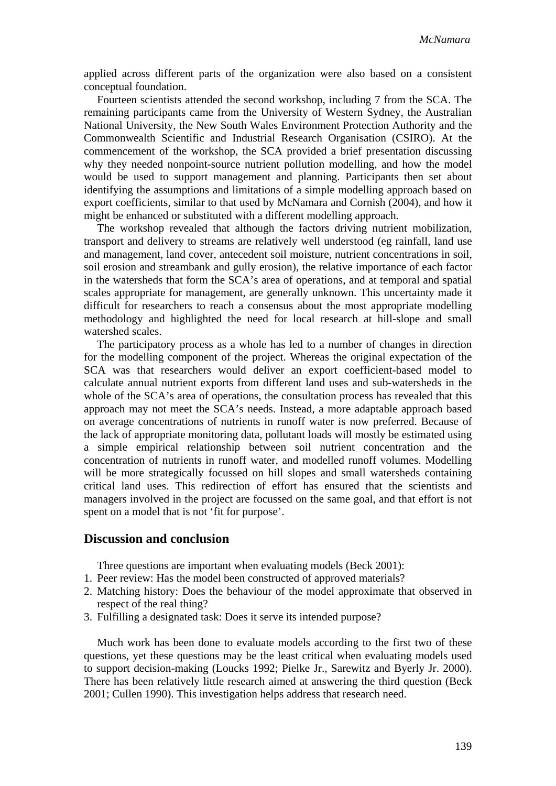applied across different parts of the organization were also based on a consistent conceptual foundation.

Fourteen scientists attended the second workshop, including 7 from the SCA. The remaining participants came from the University of Western Sydney, the Australian National University, the New South Wales Environment Protection Authority and the Commonwealth Scientific and Industrial Research Organisation (CSIRO). At the commencement of the workshop, the SCA provided a brief presentation discussing why they needed nonpoint-source nutrient pollution modelling, and how the model would be used to support management and planning. Participants then set about identifying the assumptions and limitations of a simple modelling approach based on export coefficients, similar to that used by McNamara and Cornish (2004), and how it might be enhanced or substituted with a different modelling approach.

The workshop revealed that although the factors driving nutrient mobilization, transport and delivery to streams are relatively well understood (eg rainfall, land use and management, land cover, antecedent soil moisture, nutrient concentrations in soil, soil erosion and streambank and gully erosion), the relative importance of each factor in the watersheds that form the SCA's area of operations, and at temporal and spatial scales appropriate for management, are generally unknown. This uncertainty made it difficult for researchers to reach a consensus about the most appropriate modelling methodology and highlighted the need for local research at hill-slope and small watershed scales.

The participatory process as a whole has led to a number of changes in direction for the modelling component of the project. Whereas the original expectation of the SCA was that researchers would deliver an export coefficient-based model to calculate annual nutrient exports from different land uses and sub-watersheds in the whole of the SCA's area of operations, the consultation process has revealed that this approach may not meet the SCA's needs. Instead, a more adaptable approach based on average concentrations of nutrients in runoff water is now preferred. Because of the lack of appropriate monitoring data, pollutant loads will mostly be estimated using a simple empirical relationship between soil nutrient concentration and the concentration of nutrients in runoff water, and modelled runoff volumes. Modelling will be more strategically focussed on hill slopes and small watersheds containing critical land uses. This redirection of effort has ensured that the scientists and managers involved in the project are focussed on the same goal, and that effort is not spent on a model that is not 'fit for purpose'.

## **Discussion and conclusion**

Three questions are important when evaluating models (Beck 2001):

- 1. Peer review: Has the model been constructed of approved materials?
- 2. Matching history: Does the behaviour of the model approximate that observed in respect of the real thing?
- 3. Fulfilling a designated task: Does it serve its intended purpose?

Much work has been done to evaluate models according to the first two of these questions, yet these questions may be the least critical when evaluating models used to support decision-making (Loucks 1992; Pielke Jr., Sarewitz and Byerly Jr. 2000). There has been relatively little research aimed at answering the third question (Beck 2001; Cullen 1990). This investigation helps address that research need.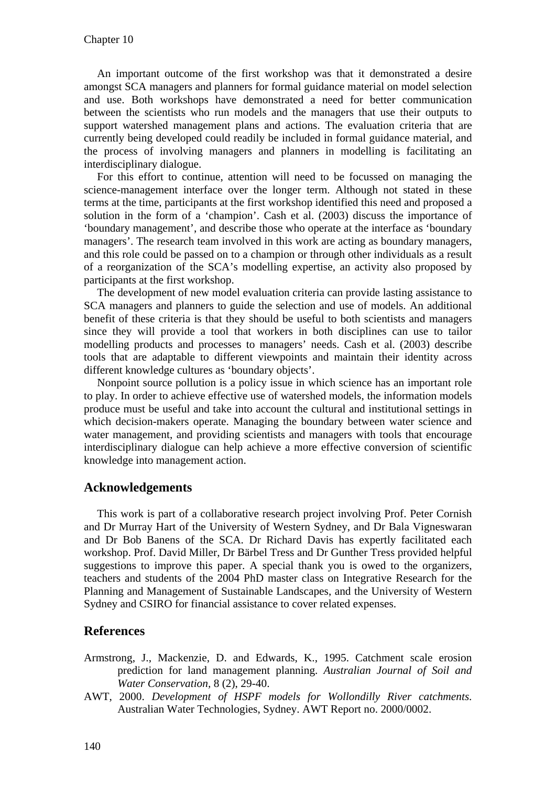An important outcome of the first workshop was that it demonstrated a desire amongst SCA managers and planners for formal guidance material on model selection and use. Both workshops have demonstrated a need for better communication between the scientists who run models and the managers that use their outputs to support watershed management plans and actions. The evaluation criteria that are currently being developed could readily be included in formal guidance material, and the process of involving managers and planners in modelling is facilitating an interdisciplinary dialogue.

For this effort to continue, attention will need to be focussed on managing the science-management interface over the longer term. Although not stated in these terms at the time, participants at the first workshop identified this need and proposed a solution in the form of a 'champion'. Cash et al. (2003) discuss the importance of 'boundary management', and describe those who operate at the interface as 'boundary managers'. The research team involved in this work are acting as boundary managers, and this role could be passed on to a champion or through other individuals as a result of a reorganization of the SCA's modelling expertise, an activity also proposed by participants at the first workshop.

The development of new model evaluation criteria can provide lasting assistance to SCA managers and planners to guide the selection and use of models. An additional benefit of these criteria is that they should be useful to both scientists and managers since they will provide a tool that workers in both disciplines can use to tailor modelling products and processes to managers' needs. Cash et al. (2003) describe tools that are adaptable to different viewpoints and maintain their identity across different knowledge cultures as 'boundary objects'.

Nonpoint source pollution is a policy issue in which science has an important role to play. In order to achieve effective use of watershed models, the information models produce must be useful and take into account the cultural and institutional settings in which decision-makers operate. Managing the boundary between water science and water management, and providing scientists and managers with tools that encourage interdisciplinary dialogue can help achieve a more effective conversion of scientific knowledge into management action.

## **Acknowledgements**

This work is part of a collaborative research project involving Prof. Peter Cornish and Dr Murray Hart of the University of Western Sydney, and Dr Bala Vigneswaran and Dr Bob Banens of the SCA. Dr Richard Davis has expertly facilitated each workshop. Prof. David Miller, Dr Bärbel Tress and Dr Gunther Tress provided helpful suggestions to improve this paper. A special thank you is owed to the organizers, teachers and students of the 2004 PhD master class on Integrative Research for the Planning and Management of Sustainable Landscapes, and the University of Western Sydney and CSIRO for financial assistance to cover related expenses.

#### **References**

- Armstrong, J., Mackenzie, D. and Edwards, K., 1995. Catchment scale erosion prediction for land management planning. *Australian Journal of Soil and Water Conservation,* 8 (2), 29-40.
- AWT, 2000. *Development of HSPF models for Wollondilly River catchments*. Australian Water Technologies, Sydney. AWT Report no. 2000/0002.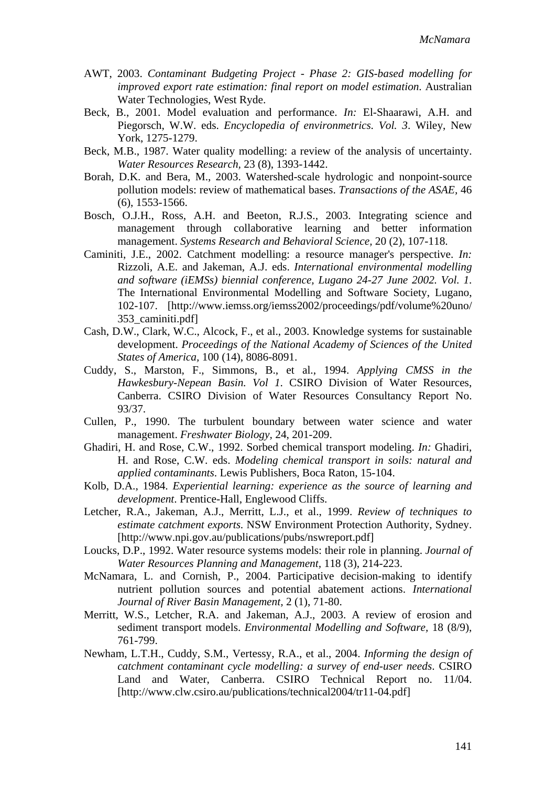- AWT, 2003. *Contaminant Budgeting Project Phase 2: GIS-based modelling for improved export rate estimation: final report on model estimation*. Australian Water Technologies, West Ryde.
- Beck, B., 2001. Model evaluation and performance. *In:* El-Shaarawi, A.H. and Piegorsch, W.W. eds. *Encyclopedia of environmetrics. Vol. 3*. Wiley, New York, 1275-1279.
- Beck, M.B., 1987. Water quality modelling: a review of the analysis of uncertainty. *Water Resources Research,* 23 (8), 1393-1442.
- Borah, D.K. and Bera, M., 2003. Watershed-scale hydrologic and nonpoint-source pollution models: review of mathematical bases. *Transactions of the ASAE,* 46 (6), 1553-1566.
- Bosch, O.J.H., Ross, A.H. and Beeton, R.J.S., 2003. Integrating science and management through collaborative learning and better information management. *Systems Research and Behavioral Science,* 20 (2), 107-118.
- Caminiti, J.E., 2002. Catchment modelling: a resource manager's perspective. *In:* Rizzoli, A.E. and Jakeman, A.J. eds. *International environmental modelling and software (iEMSs) biennial conference, Lugano 24-27 June 2002. Vol. 1*. The International Environmental Modelling and Software Society, Lugano, 102-107. [http://www.iemss.org/iemss2002/proceedings/pdf/volume%20uno/ 353\_caminiti.pdf]
- Cash, D.W., Clark, W.C., Alcock, F., et al., 2003. Knowledge systems for sustainable development. *Proceedings of the National Academy of Sciences of the United States of America,* 100 (14), 8086-8091.
- Cuddy, S., Marston, F., Simmons, B., et al., 1994. *Applying CMSS in the Hawkesbury-Nepean Basin. Vol 1*. CSIRO Division of Water Resources, Canberra. CSIRO Division of Water Resources Consultancy Report No. 93/37.
- Cullen, P., 1990. The turbulent boundary between water science and water management. *Freshwater Biology,* 24, 201-209.
- Ghadiri, H. and Rose, C.W., 1992. Sorbed chemical transport modeling. *In:* Ghadiri, H. and Rose, C.W. eds. *Modeling chemical transport in soils: natural and applied contaminants*. Lewis Publishers, Boca Raton, 15-104.
- Kolb, D.A., 1984. *Experiential learning: experience as the source of learning and development*. Prentice-Hall, Englewood Cliffs.
- Letcher, R.A., Jakeman, A.J., Merritt, L.J., et al., 1999. *Review of techniques to estimate catchment exports*. NSW Environment Protection Authority, Sydney. [http://www.npi.gov.au/publications/pubs/nswreport.pdf]
- Loucks, D.P., 1992. Water resource systems models: their role in planning. *Journal of Water Resources Planning and Management,* 118 (3), 214-223.
- McNamara, L. and Cornish, P., 2004. Participative decision-making to identify nutrient pollution sources and potential abatement actions. *International Journal of River Basin Management,* 2 (1), 71-80.
- Merritt, W.S., Letcher, R.A. and Jakeman, A.J., 2003. A review of erosion and sediment transport models. *Environmental Modelling and Software,* 18 (8/9), 761-799.
- Newham, L.T.H., Cuddy, S.M., Vertessy, R.A., et al., 2004. *Informing the design of catchment contaminant cycle modelling: a survey of end-user needs*. CSIRO Land and Water, Canberra. CSIRO Technical Report no. 11/04. [http://www.clw.csiro.au/publications/technical2004/tr11-04.pdf]